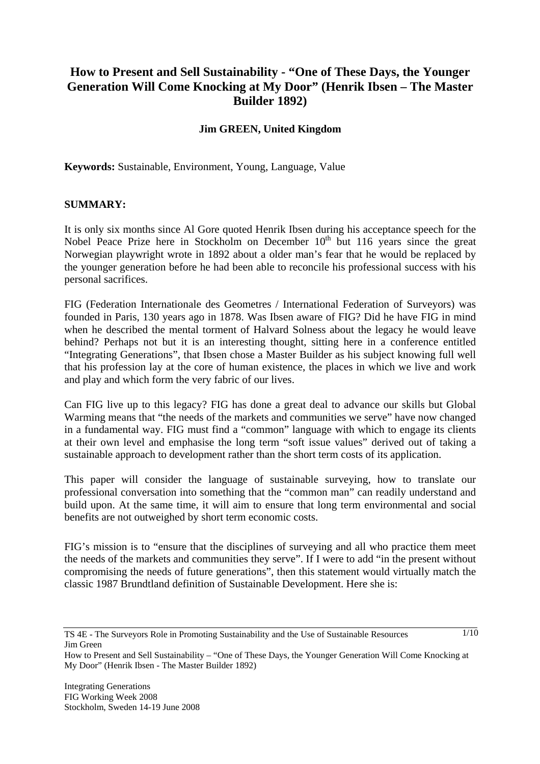# **How to Present and Sell Sustainability - "One of These Days, the Younger Generation Will Come Knocking at My Door" (Henrik Ibsen – The Master Builder 1892)**

#### **Jim GREEN, United Kingdom**

**Keywords:** Sustainable, Environment, Young, Language, Value

#### **SUMMARY:**

It is only six months since Al Gore quoted Henrik Ibsen during his acceptance speech for the Nobel Peace Prize here in Stockholm on December  $10<sup>th</sup>$  but 116 years since the great Norwegian playwright wrote in 1892 about a older man's fear that he would be replaced by the younger generation before he had been able to reconcile his professional success with his personal sacrifices.

FIG (Federation Internationale des Geometres / International Federation of Surveyors) was founded in Paris, 130 years ago in 1878. Was Ibsen aware of FIG? Did he have FIG in mind when he described the mental torment of Halvard Solness about the legacy he would leave behind? Perhaps not but it is an interesting thought, sitting here in a conference entitled "Integrating Generations", that Ibsen chose a Master Builder as his subject knowing full well that his profession lay at the core of human existence, the places in which we live and work and play and which form the very fabric of our lives.

Can FIG live up to this legacy? FIG has done a great deal to advance our skills but Global Warming means that "the needs of the markets and communities we serve" have now changed in a fundamental way. FIG must find a "common" language with which to engage its clients at their own level and emphasise the long term "soft issue values" derived out of taking a sustainable approach to development rather than the short term costs of its application.

This paper will consider the language of sustainable surveying, how to translate our professional conversation into something that the "common man" can readily understand and build upon. At the same time, it will aim to ensure that long term environmental and social benefits are not outweighed by short term economic costs.

FIG's mission is to "ensure that the disciplines of surveying and all who practice them meet the needs of the markets and communities they serve". If I were to add "in the present without compromising the needs of future generations", then this statement would virtually match the classic 1987 Brundtland definition of Sustainable Development. Here she is:

How to Present and Sell Sustainability – "One of These Days, the Younger Generation Will Come Knocking at My Door" (Henrik Ibsen - The Master Builder 1892)

TS 4E - The Surveyors Role in Promoting Sustainability and the Use of Sustainable Resources Jim Green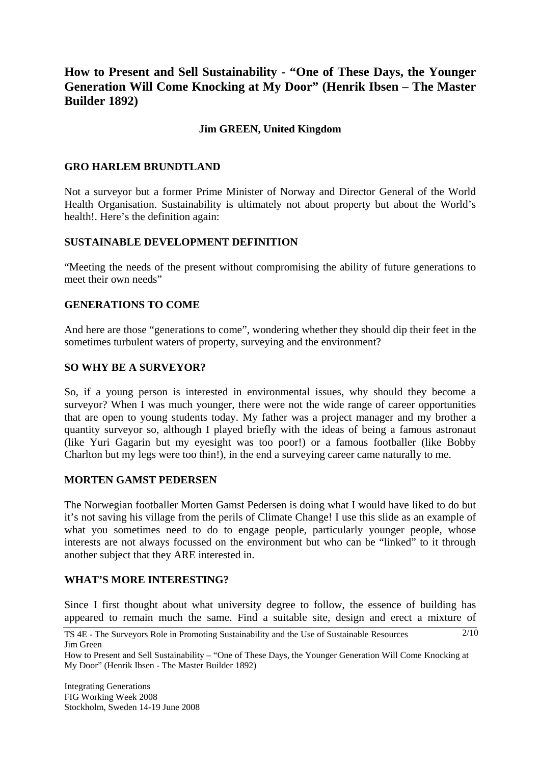# **How to Present and Sell Sustainability - "One of These Days, the Younger Generation Will Come Knocking at My Door" (Henrik Ibsen – The Master Builder 1892)**

#### **Jim GREEN, United Kingdom**

#### **GRO HARLEM BRUNDTLAND**

Not a surveyor but a former Prime Minister of Norway and Director General of the World Health Organisation. Sustainability is ultimately not about property but about the World's health!. Here's the definition again:

#### **SUSTAINABLE DEVELOPMENT DEFINITION**

"Meeting the needs of the present without compromising the ability of future generations to meet their own needs"

#### **GENERATIONS TO COME**

And here are those "generations to come", wondering whether they should dip their feet in the sometimes turbulent waters of property, surveying and the environment?

#### **SO WHY BE A SURVEYOR?**

So, if a young person is interested in environmental issues, why should they become a surveyor? When I was much younger, there were not the wide range of career opportunities that are open to young students today. My father was a project manager and my brother a quantity surveyor so, although I played briefly with the ideas of being a famous astronaut (like Yuri Gagarin but my eyesight was too poor!) or a famous footballer (like Bobby Charlton but my legs were too thin!), in the end a surveying career came naturally to me.

#### **MORTEN GAMST PEDERSEN**

The Norwegian footballer Morten Gamst Pedersen is doing what I would have liked to do but it's not saving his village from the perils of Climate Change! I use this slide as an example of what you sometimes need to do to engage people, particularly younger people, whose interests are not always focussed on the environment but who can be "linked" to it through another subject that they ARE interested in.

## **WHAT'S MORE INTERESTING?**

Since I first thought about what university degree to follow, the essence of building has appeared to remain much the same. Find a suitable site, design and erect a mixture of

TS 4E - The Surveyors Role in Promoting Sustainability and the Use of Sustainable Resources Jim Green  $2/10$ 

How to Present and Sell Sustainability – "One of These Days, the Younger Generation Will Come Knocking at My Door" (Henrik Ibsen - The Master Builder 1892)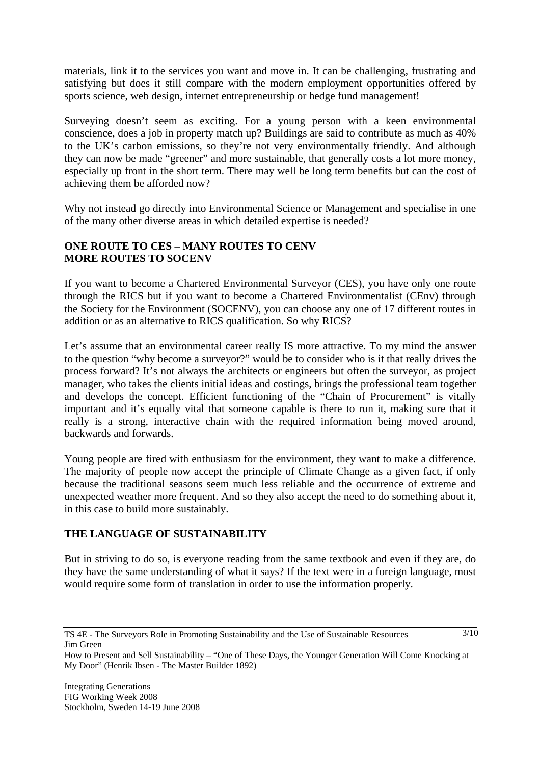materials, link it to the services you want and move in. It can be challenging, frustrating and satisfying but does it still compare with the modern employment opportunities offered by sports science, web design, internet entrepreneurship or hedge fund management!

Surveying doesn't seem as exciting. For a young person with a keen environmental conscience, does a job in property match up? Buildings are said to contribute as much as 40% to the UK's carbon emissions, so they're not very environmentally friendly. And although they can now be made "greener" and more sustainable, that generally costs a lot more money, especially up front in the short term. There may well be long term benefits but can the cost of achieving them be afforded now?

Why not instead go directly into Environmental Science or Management and specialise in one of the many other diverse areas in which detailed expertise is needed?

#### **ONE ROUTE TO CES – MANY ROUTES TO CENV MORE ROUTES TO SOCENV**

If you want to become a Chartered Environmental Surveyor (CES), you have only one route through the RICS but if you want to become a Chartered Environmentalist (CEnv) through the Society for the Environment (SOCENV), you can choose any one of 17 different routes in addition or as an alternative to RICS qualification. So why RICS?

Let's assume that an environmental career really IS more attractive. To my mind the answer to the question "why become a surveyor?" would be to consider who is it that really drives the process forward? It's not always the architects or engineers but often the surveyor, as project manager, who takes the clients initial ideas and costings, brings the professional team together and develops the concept. Efficient functioning of the "Chain of Procurement" is vitally important and it's equally vital that someone capable is there to run it, making sure that it really is a strong, interactive chain with the required information being moved around, backwards and forwards.

Young people are fired with enthusiasm for the environment, they want to make a difference. The majority of people now accept the principle of Climate Change as a given fact, if only because the traditional seasons seem much less reliable and the occurrence of extreme and unexpected weather more frequent. And so they also accept the need to do something about it, in this case to build more sustainably.

## **THE LANGUAGE OF SUSTAINABILITY**

But in striving to do so, is everyone reading from the same textbook and even if they are, do they have the same understanding of what it says? If the text were in a foreign language, most would require some form of translation in order to use the information properly.

 $\frac{3}{10}$ 

TS 4E - The Surveyors Role in Promoting Sustainability and the Use of Sustainable Resources Jim Green

How to Present and Sell Sustainability – "One of These Days, the Younger Generation Will Come Knocking at My Door" (Henrik Ibsen - The Master Builder 1892)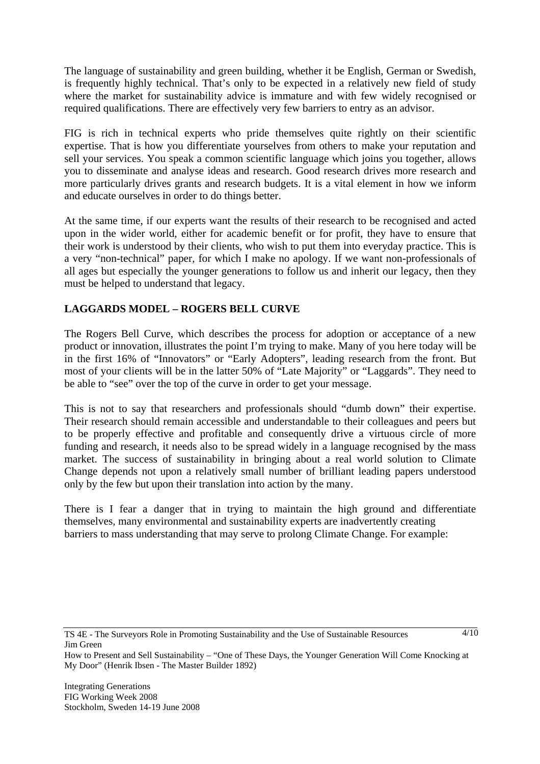The language of sustainability and green building, whether it be English, German or Swedish, is frequently highly technical. That's only to be expected in a relatively new field of study where the market for sustainability advice is immature and with few widely recognised or required qualifications. There are effectively very few barriers to entry as an advisor.

FIG is rich in technical experts who pride themselves quite rightly on their scientific expertise. That is how you differentiate yourselves from others to make your reputation and sell your services. You speak a common scientific language which joins you together, allows you to disseminate and analyse ideas and research. Good research drives more research and more particularly drives grants and research budgets. It is a vital element in how we inform and educate ourselves in order to do things better.

At the same time, if our experts want the results of their research to be recognised and acted upon in the wider world, either for academic benefit or for profit, they have to ensure that their work is understood by their clients, who wish to put them into everyday practice. This is a very "non-technical" paper, for which I make no apology. If we want non-professionals of all ages but especially the younger generations to follow us and inherit our legacy, then they must be helped to understand that legacy.

# **LAGGARDS MODEL – ROGERS BELL CURVE**

The Rogers Bell Curve, which describes the process for adoption or acceptance of a new product or innovation, illustrates the point I'm trying to make. Many of you here today will be in the first 16% of "Innovators" or "Early Adopters", leading research from the front. But most of your clients will be in the latter 50% of "Late Majority" or "Laggards". They need to be able to "see" over the top of the curve in order to get your message.

This is not to say that researchers and professionals should "dumb down" their expertise. Their research should remain accessible and understandable to their colleagues and peers but to be properly effective and profitable and consequently drive a virtuous circle of more funding and research, it needs also to be spread widely in a language recognised by the mass market. The success of sustainability in bringing about a real world solution to Climate Change depends not upon a relatively small number of brilliant leading papers understood only by the few but upon their translation into action by the many.

There is I fear a danger that in trying to maintain the high ground and differentiate themselves, many environmental and sustainability experts are inadvertently creating barriers to mass understanding that may serve to prolong Climate Change. For example:

How to Present and Sell Sustainability – "One of These Days, the Younger Generation Will Come Knocking at My Door" (Henrik Ibsen - The Master Builder 1892)

TS 4E - The Surveyors Role in Promoting Sustainability and the Use of Sustainable Resources Jim Green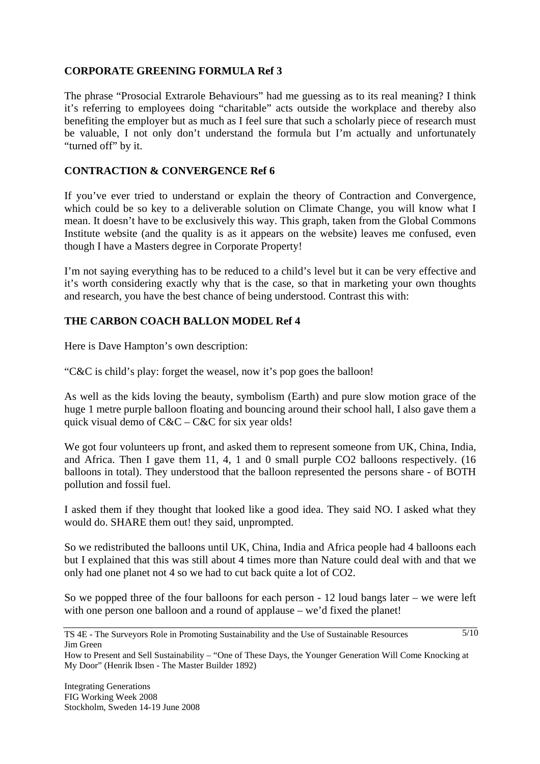## **CORPORATE GREENING FORMULA Ref 3**

The phrase "Prosocial Extrarole Behaviours" had me guessing as to its real meaning? I think it's referring to employees doing "charitable" acts outside the workplace and thereby also benefiting the employer but as much as I feel sure that such a scholarly piece of research must be valuable, I not only don't understand the formula but I'm actually and unfortunately "turned off" by it.

# **CONTRACTION & CONVERGENCE Ref 6**

If you've ever tried to understand or explain the theory of Contraction and Convergence, which could be so key to a deliverable solution on Climate Change, you will know what I mean. It doesn't have to be exclusively this way. This graph, taken from the Global Commons Institute website (and the quality is as it appears on the website) leaves me confused, even though I have a Masters degree in Corporate Property!

I'm not saying everything has to be reduced to a child's level but it can be very effective and it's worth considering exactly why that is the case, so that in marketing your own thoughts and research, you have the best chance of being understood. Contrast this with:

# **THE CARBON COACH BALLON MODEL Ref 4**

Here is Dave Hampton's own description:

"C&C is child's play: forget the weasel, now it's pop goes the balloon!

As well as the kids loving the beauty, symbolism (Earth) and pure slow motion grace of the huge 1 metre purple balloon floating and bouncing around their school hall, I also gave them a quick visual demo of  $C&C - C&C$  for six year olds!

We got four volunteers up front, and asked them to represent someone from UK, China, India, and Africa. Then I gave them 11, 4, 1 and 0 small purple CO2 balloons respectively. (16 balloons in total). They understood that the balloon represented the persons share - of BOTH pollution and fossil fuel.

I asked them if they thought that looked like a good idea. They said NO. I asked what they would do. SHARE them out! they said, unprompted.

So we redistributed the balloons until UK, China, India and Africa people had 4 balloons each but I explained that this was still about 4 times more than Nature could deal with and that we only had one planet not 4 so we had to cut back quite a lot of CO2.

So we popped three of the four balloons for each person - 12 loud bangs later – we were left with one person one balloon and a round of applause – we'd fixed the planet!

TS 4E - The Surveyors Role in Promoting Sustainability and the Use of Sustainable Resources Jim Green

How to Present and Sell Sustainability – "One of These Days, the Younger Generation Will Come Knocking at My Door" (Henrik Ibsen - The Master Builder 1892)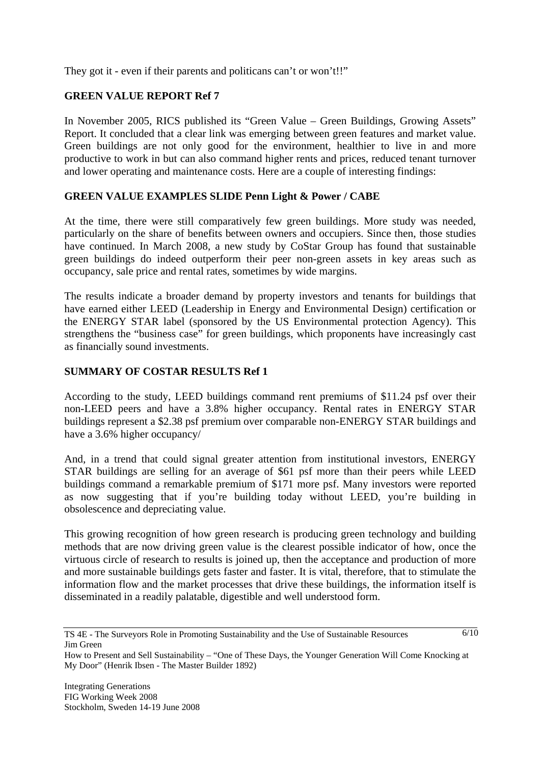They got it - even if their parents and politicans can't or won't!!"

# **GREEN VALUE REPORT Ref 7**

In November 2005, RICS published its "Green Value – Green Buildings, Growing Assets" Report. It concluded that a clear link was emerging between green features and market value. Green buildings are not only good for the environment, healthier to live in and more productive to work in but can also command higher rents and prices, reduced tenant turnover and lower operating and maintenance costs. Here are a couple of interesting findings:

## **GREEN VALUE EXAMPLES SLIDE Penn Light & Power / CABE**

At the time, there were still comparatively few green buildings. More study was needed, particularly on the share of benefits between owners and occupiers. Since then, those studies have continued. In March 2008, a new study by CoStar Group has found that sustainable green buildings do indeed outperform their peer non-green assets in key areas such as occupancy, sale price and rental rates, sometimes by wide margins.

The results indicate a broader demand by property investors and tenants for buildings that have earned either LEED (Leadership in Energy and Environmental Design) certification or the ENERGY STAR label (sponsored by the US Environmental protection Agency). This strengthens the "business case" for green buildings, which proponents have increasingly cast as financially sound investments.

## **SUMMARY OF COSTAR RESULTS Ref 1**

According to the study, LEED buildings command rent premiums of \$11.24 psf over their non-LEED peers and have a 3.8% higher occupancy. Rental rates in ENERGY STAR buildings represent a \$2.38 psf premium over comparable non-ENERGY STAR buildings and have a 3.6% higher occupancy/

And, in a trend that could signal greater attention from institutional investors, ENERGY STAR buildings are selling for an average of \$61 psf more than their peers while LEED buildings command a remarkable premium of \$171 more psf. Many investors were reported as now suggesting that if you're building today without LEED, you're building in obsolescence and depreciating value.

This growing recognition of how green research is producing green technology and building methods that are now driving green value is the clearest possible indicator of how, once the virtuous circle of research to results is joined up, then the acceptance and production of more and more sustainable buildings gets faster and faster. It is vital, therefore, that to stimulate the information flow and the market processes that drive these buildings, the information itself is disseminated in a readily palatable, digestible and well understood form.

TS 4E - The Surveyors Role in Promoting Sustainability and the Use of Sustainable Resources Jim Green

How to Present and Sell Sustainability – "One of These Days, the Younger Generation Will Come Knocking at My Door" (Henrik Ibsen - The Master Builder 1892)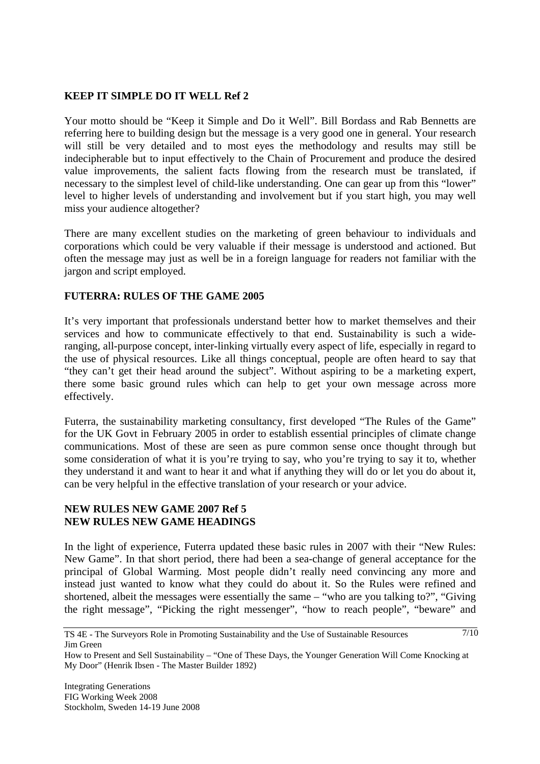## **KEEP IT SIMPLE DO IT WELL Ref 2**

Your motto should be "Keep it Simple and Do it Well". Bill Bordass and Rab Bennetts are referring here to building design but the message is a very good one in general. Your research will still be very detailed and to most eyes the methodology and results may still be indecipherable but to input effectively to the Chain of Procurement and produce the desired value improvements, the salient facts flowing from the research must be translated, if necessary to the simplest level of child-like understanding. One can gear up from this "lower" level to higher levels of understanding and involvement but if you start high, you may well miss your audience altogether?

There are many excellent studies on the marketing of green behaviour to individuals and corporations which could be very valuable if their message is understood and actioned. But often the message may just as well be in a foreign language for readers not familiar with the jargon and script employed.

#### **FUTERRA: RULES OF THE GAME 2005**

It's very important that professionals understand better how to market themselves and their services and how to communicate effectively to that end. Sustainability is such a wideranging, all-purpose concept, inter-linking virtually every aspect of life, especially in regard to the use of physical resources. Like all things conceptual, people are often heard to say that "they can't get their head around the subject". Without aspiring to be a marketing expert, there some basic ground rules which can help to get your own message across more effectively.

Futerra, the sustainability marketing consultancy, first developed "The Rules of the Game" for the UK Govt in February 2005 in order to establish essential principles of climate change communications. Most of these are seen as pure common sense once thought through but some consideration of what it is you're trying to say, who you're trying to say it to, whether they understand it and want to hear it and what if anything they will do or let you do about it, can be very helpful in the effective translation of your research or your advice.

#### **NEW RULES NEW GAME 2007 Ref 5 NEW RULES NEW GAME HEADINGS**

In the light of experience, Futerra updated these basic rules in 2007 with their "New Rules: New Game". In that short period, there had been a sea-change of general acceptance for the principal of Global Warming. Most people didn't really need convincing any more and instead just wanted to know what they could do about it. So the Rules were refined and shortened, albeit the messages were essentially the same – "who are you talking to?", "Giving the right message", "Picking the right messenger", "how to reach people", "beware" and

TS 4E - The Surveyors Role in Promoting Sustainability and the Use of Sustainable Resources Jim Green

How to Present and Sell Sustainability – "One of These Days, the Younger Generation Will Come Knocking at My Door" (Henrik Ibsen - The Master Builder 1892)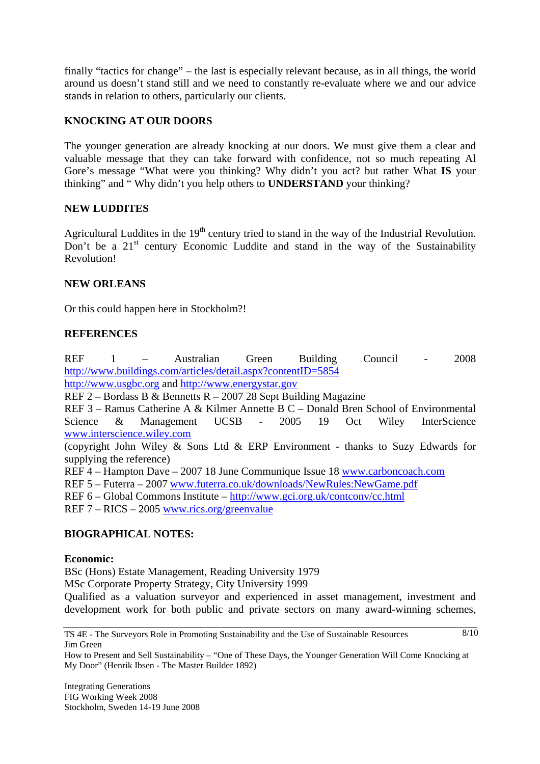finally "tactics for change" – the last is especially relevant because, as in all things, the world around us doesn't stand still and we need to constantly re-evaluate where we and our advice stands in relation to others, particularly our clients.

## **KNOCKING AT OUR DOORS**

The younger generation are already knocking at our doors. We must give them a clear and valuable message that they can take forward with confidence, not so much repeating Al Gore's message "What were you thinking? Why didn't you act? but rather What **IS** your thinking" and " Why didn't you help others to **UNDERSTAND** your thinking?

#### **NEW LUDDITES**

Agricultural Luddites in the  $19<sup>th</sup>$  century tried to stand in the way of the Industrial Revolution. Don't be a  $21<sup>st</sup>$  century Economic Luddite and stand in the way of the Sustainability Revolution!

#### **NEW ORLEANS**

Or this could happen here in Stockholm?!

#### **REFERENCES**

REF 1 – Australian Green Building Council - 2008 http://www.buildings.com/articles/detail.aspx?contentID=5854

http://www.usgbc.org and http://www.energystar.gov

REF 2 – Bordass B & Bennetts R – 2007 28 Sept Building Magazine

REF 3 – Ramus Catherine A & Kilmer Annette B C – Donald Bren School of Environmental Science & Management UCSB - 2005 19 Oct Wiley InterScience www.interscience.wiley.com

(copyright John Wiley & Sons Ltd & ERP Environment - thanks to Suzy Edwards for supplying the reference)

REF 4 – Hampton Dave – 2007 18 June Communique Issue 18 www.carboncoach.com

REF 5 – Futerra – 2007 www.futerra.co.uk/downloads/NewRules:NewGame.pdf

REF 6 – Global Commons Institute – http://www.gci.org.uk/contconv/cc.html

REF 7 – RICS – 2005 www.rics.org/greenvalue

#### **BIOGRAPHICAL NOTES:**

#### **Economic:**

BSc (Hons) Estate Management, Reading University 1979 MSc Corporate Property Strategy, City University 1999

Qualified as a valuation surveyor and experienced in asset management, investment and development work for both public and private sectors on many award-winning schemes,

 $8/10$ 

TS 4E - The Surveyors Role in Promoting Sustainability and the Use of Sustainable Resources Jim Green

How to Present and Sell Sustainability – "One of These Days, the Younger Generation Will Come Knocking at My Door" (Henrik Ibsen - The Master Builder 1892)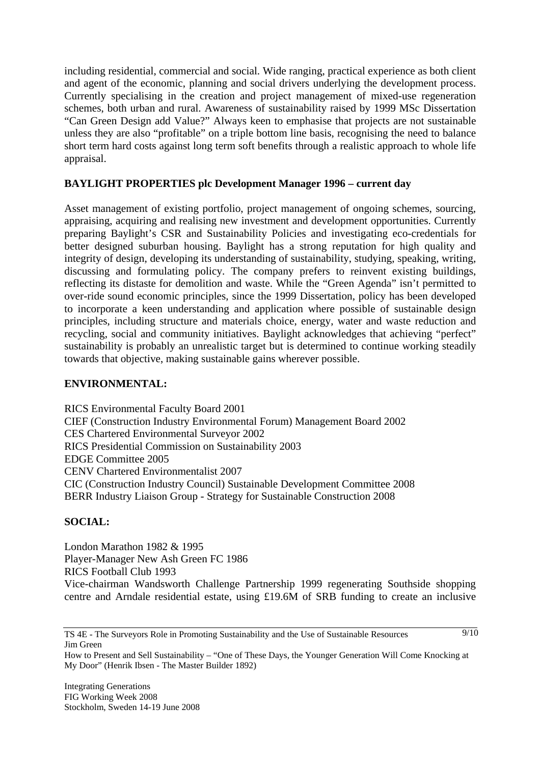including residential, commercial and social. Wide ranging, practical experience as both client and agent of the economic, planning and social drivers underlying the development process. Currently specialising in the creation and project management of mixed-use regeneration schemes, both urban and rural. Awareness of sustainability raised by 1999 MSc Dissertation "Can Green Design add Value?" Always keen to emphasise that projects are not sustainable unless they are also "profitable" on a triple bottom line basis, recognising the need to balance short term hard costs against long term soft benefits through a realistic approach to whole life appraisal.

# **BAYLIGHT PROPERTIES plc Development Manager 1996 – current day**

Asset management of existing portfolio, project management of ongoing schemes, sourcing, appraising, acquiring and realising new investment and development opportunities. Currently preparing Baylight's CSR and Sustainability Policies and investigating eco-credentials for better designed suburban housing. Baylight has a strong reputation for high quality and integrity of design, developing its understanding of sustainability, studying, speaking, writing, discussing and formulating policy. The company prefers to reinvent existing buildings, reflecting its distaste for demolition and waste. While the "Green Agenda" isn't permitted to over-ride sound economic principles, since the 1999 Dissertation, policy has been developed to incorporate a keen understanding and application where possible of sustainable design principles, including structure and materials choice, energy, water and waste reduction and recycling, social and community initiatives. Baylight acknowledges that achieving "perfect" sustainability is probably an unrealistic target but is determined to continue working steadily towards that objective, making sustainable gains wherever possible.

## **ENVIRONMENTAL:**

RICS Environmental Faculty Board 2001 CIEF (Construction Industry Environmental Forum) Management Board 2002 CES Chartered Environmental Surveyor 2002 RICS Presidential Commission on Sustainability 2003 EDGE Committee 2005 CENV Chartered Environmentalist 2007 CIC (Construction Industry Council) Sustainable Development Committee 2008 BERR Industry Liaison Group - Strategy for Sustainable Construction 2008

## **SOCIAL:**

London Marathon 1982 & 1995 Player-Manager New Ash Green FC 1986 RICS Football Club 1993 Vice-chairman Wandsworth Challenge Partnership 1999 regenerating Southside shopping centre and Arndale residential estate, using £19.6M of SRB funding to create an inclusive

TS 4E - The Surveyors Role in Promoting Sustainability and the Use of Sustainable Resources Jim Green

How to Present and Sell Sustainability – "One of These Days, the Younger Generation Will Come Knocking at My Door" (Henrik Ibsen - The Master Builder 1892)

 $9/10$